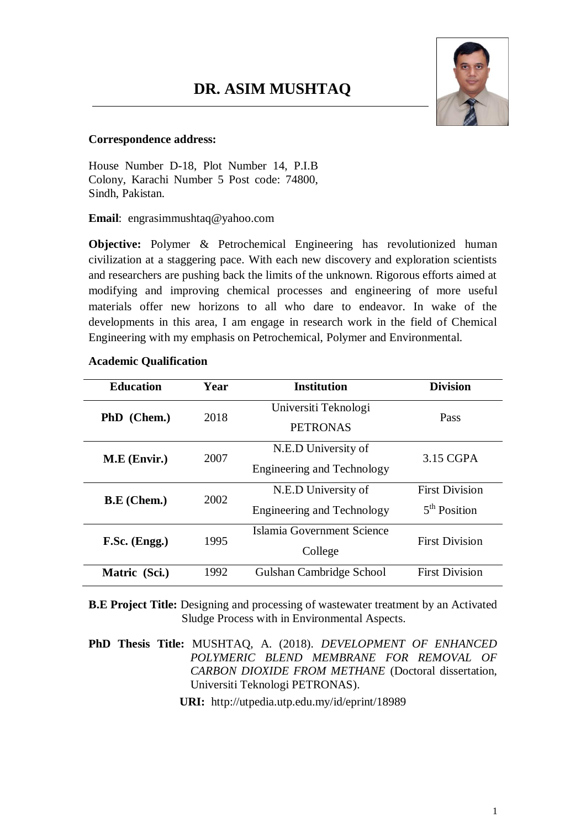

#### **Correspondence address:**

House Number D-18, Plot Number 14, P.I.B Colony, Karachi Number 5 Post code: 74800, Sindh, Pakistan.

**Email**: engrasimmushtaq@yahoo.com

**Objective:** Polymer & Petrochemical Engineering has revolutionized human civilization at a staggering pace. With each new discovery and exploration scientists and researchers are pushing back the limits of the unknown. Rigorous efforts aimed at modifying and improving chemical processes and engineering of more useful materials offer new horizons to all who dare to endeavor. In wake of the developments in this area, I am engage in research work in the field of Chemical Engineering with my emphasis on Petrochemical, Polymer and Environmental.

#### **Academic Qualification**

| <b>Education</b>   | Year | <b>Institution</b>                | <b>Division</b>          |
|--------------------|------|-----------------------------------|--------------------------|
| PhD (Chem.)        | 2018 | Universiti Teknologi              | Pass                     |
|                    |      | <b>PETRONAS</b>                   |                          |
| M.E (Envir.)       | 2007 | N.E.D University of               | 3.15 CGPA                |
|                    |      | <b>Engineering and Technology</b> |                          |
| <b>B.E</b> (Chem.) | 2002 | N.E.D University of               | <b>First Division</b>    |
|                    |      | Engineering and Technology        | 5 <sup>th</sup> Position |
| F.Sc. (Engg.)      | 1995 | Islamia Government Science        | <b>First Division</b>    |
|                    |      | College                           |                          |
| Matric (Sci.)      | 1992 | Gulshan Cambridge School          | <b>First Division</b>    |

**B.E Project Title:** Designing and processing of wastewater treatment by an Activated Sludge Process with in Environmental Aspects.

**PhD Thesis Title:** MUSHTAQ, A. (2018). *DEVELOPMENT OF ENHANCED POLYMERIC BLEND MEMBRANE FOR REMOVAL OF CARBON DIOXIDE FROM METHANE* (Doctoral dissertation, Universiti Teknologi PETRONAS).

**URI:** <http://utpedia.utp.edu.my/id/eprint/18989>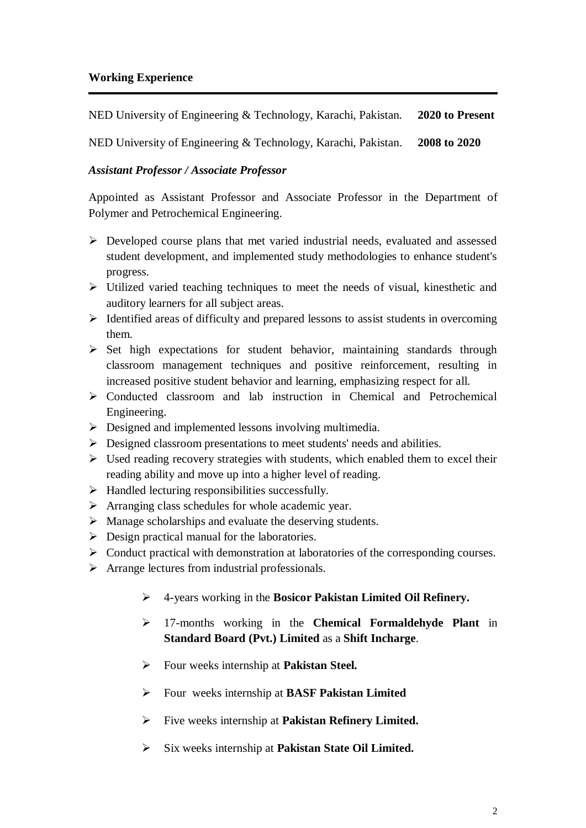### **Working Experience**

NED University of Engineering & Technology, Karachi, Pakistan. **2020 to Present**

NED University of Engineering & Technology, Karachi, Pakistan. **2008 to 2020**

### *Assistant Professor / Associate Professor*

Appointed as Assistant Professor and Associate Professor in the Department of Polymer and Petrochemical Engineering.

- Developed course plans that met varied industrial needs, evaluated and assessed student development, and implemented study methodologies to enhance student's progress.
- $\triangleright$  Utilized varied teaching techniques to meet the needs of visual, kinesthetic and auditory learners for all subject areas.
- $\triangleright$  Identified areas of difficulty and prepared lessons to assist students in overcoming them.
- $\triangleright$  Set high expectations for student behavior, maintaining standards through classroom management techniques and positive reinforcement, resulting in increased positive student behavior and learning, emphasizing respect for all.
- $\triangleright$  Conducted classroom and lab instruction in Chemical and Petrochemical Engineering.
- $\triangleright$  Designed and implemented lessons involving multimedia.
- $\triangleright$  Designed classroom presentations to meet students' needs and abilities.
- $\triangleright$  Used reading recovery strategies with students, which enabled them to excel their reading ability and move up into a higher level of reading.
- $\triangleright$  Handled lecturing responsibilities successfully.
- $\triangleright$  Arranging class schedules for whole academic year.
- $\triangleright$  Manage scholarships and evaluate the deserving students.
- $\triangleright$  Design practical manual for the laboratories.
- $\triangleright$  Conduct practical with demonstration at laboratories of the corresponding courses.
- $\triangleright$  Arrange lectures from industrial professionals.
	- 4-years working in the **Bosicor Pakistan Limited Oil Refinery.**
	- 17-months working in the **Chemical Formaldehyde Plant** in **Standard Board (Pvt.) Limited** as a **Shift Incharge**.
	- Four weeks internship at **Pakistan Steel.**
	- Four weeks internship at **BASF Pakistan Limited**
	- Five weeks internship at **Pakistan Refinery Limited.**
	- Six weeks internship at **Pakistan State Oil Limited.**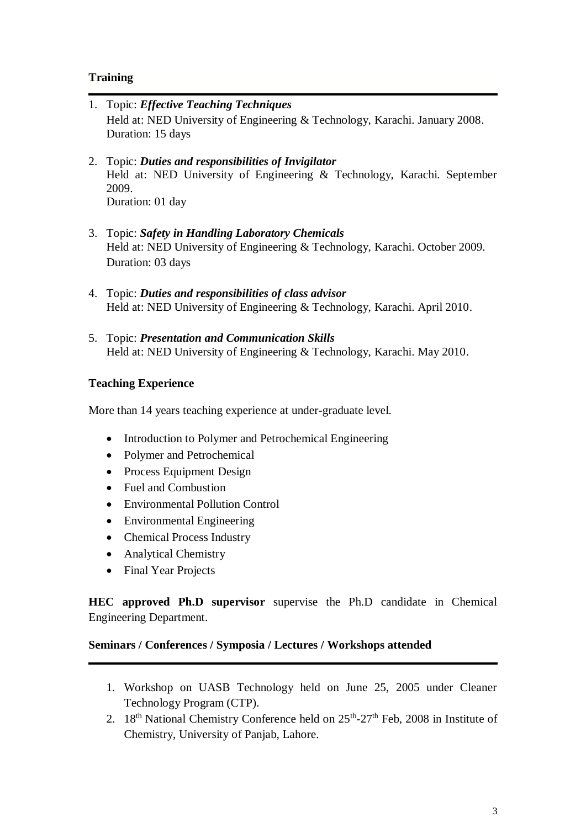### **Training**

- 1. Topic: *Effective Teaching Techniques* Held at: NED University of Engineering & Technology, Karachi. January 2008. Duration: 15 days
- 2. Topic: *Duties and responsibilities of Invigilator* Held at: NED University of Engineering & Technology, Karachi. September 2009. Duration: 01 day
- 3. Topic: *Safety in Handling Laboratory Chemicals* Held at: NED University of Engineering & Technology, Karachi. October 2009. Duration: 03 days
- 4. Topic: *Duties and responsibilities of class advisor* Held at: NED University of Engineering & Technology, Karachi. April 2010.
- 5. Topic: *Presentation and Communication Skills* Held at: NED University of Engineering & Technology, Karachi. May 2010.

### **Teaching Experience**

More than 14 years teaching experience at under-graduate level.

- Introduction to Polymer and Petrochemical Engineering
- Polymer and Petrochemical
- Process Equipment Design
- Fuel and Combustion
- Environmental Pollution Control
- Environmental Engineering
- Chemical Process Industry
- Analytical Chemistry
- Final Year Projects

**HEC approved Ph.D supervisor** supervise the Ph.D candidate in Chemical Engineering Department.

### **Seminars / Conferences / Symposia / Lectures / Workshops attended**

- 1. Workshop on UASB Technology held on June 25, 2005 under Cleaner Technology Program (CTP).
- 2.  $18<sup>th</sup>$  National Chemistry Conference held on  $25<sup>th</sup>$ - $27<sup>th</sup>$  Feb, 2008 in Institute of Chemistry, University of Panjab, Lahore.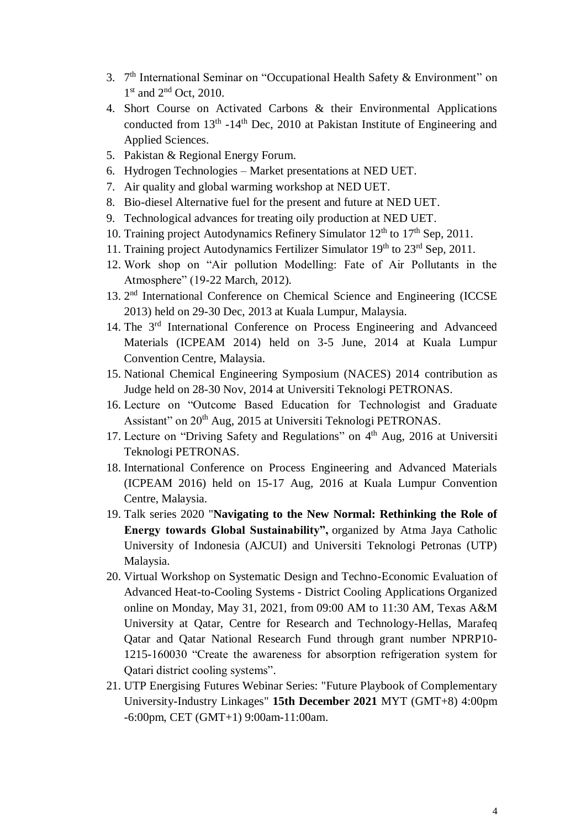- 3. 7<sup>th</sup> International Seminar on "Occupational Health Safety & Environment" on 1<sup>st</sup> and 2<sup>nd</sup> Oct, 2010.
- 4. Short Course on Activated Carbons & their Environmental Applications conducted from  $13<sup>th</sup> - 14<sup>th</sup>$  Dec, 2010 at Pakistan Institute of Engineering and Applied Sciences.
- 5. Pakistan & Regional Energy Forum.
- 6. Hydrogen Technologies Market presentations at NED UET.
- 7. Air quality and global warming workshop at NED UET.
- 8. Bio-diesel Alternative fuel for the present and future at NED UET.
- 9. Technological advances for treating oily production at NED UET.
- 10. Training project Autodynamics Refinery Simulator 12<sup>th</sup> to 17<sup>th</sup> Sep, 2011.
- 11. Training project Autodynamics Fertilizer Simulator  $19<sup>th</sup>$  to  $23<sup>rd</sup>$  Sep, 2011.
- 12. Work shop on "Air pollution Modelling: Fate of Air Pollutants in the Atmosphere" (19-22 March, 2012).
- 13. 2<sup>nd</sup> International Conference on Chemical Science and Engineering (ICCSE 2013) held on 29-30 Dec, 2013 at Kuala Lumpur, Malaysia.
- 14. The 3rd International Conference on Process Engineering and Advanceed Materials (ICPEAM 2014) held on 3-5 June, 2014 at Kuala Lumpur Convention Centre, Malaysia.
- 15. National Chemical Engineering Symposium (NACES) 2014 contribution as Judge held on 28-30 Nov, 2014 at Universiti Teknologi PETRONAS.
- 16. Lecture on "Outcome Based Education for Technologist and Graduate Assistant" on 20<sup>th</sup> Aug, 2015 at Universiti Teknologi PETRONAS.
- 17. Lecture on "Driving Safety and Regulations" on  $4<sup>th</sup>$  Aug, 2016 at Universiti Teknologi PETRONAS.
- 18. International Conference on Process Engineering and Advanced Materials (ICPEAM 2016) held on 15-17 Aug, 2016 at Kuala Lumpur Convention Centre, Malaysia.
- 19. Talk series 2020 "**Navigating to the New Normal: Rethinking the Role of Energy towards Global Sustainability",** organized by Atma Jaya Catholic University of Indonesia (AJCUI) and Universiti Teknologi Petronas (UTP) Malaysia.
- 20. Virtual Workshop on Systematic Design and Techno-Economic Evaluation of Advanced Heat-to-Cooling Systems - District Cooling Applications Organized online on Monday, May 31, 2021, from 09:00 AM to 11:30 AM, Texas A&M University at Qatar, Centre for Research and Technology-Hellas, Marafeq Qatar and Qatar National Research Fund through grant number NPRP10- 1215-160030 "Create the awareness for absorption refrigeration system for Qatari district cooling systems".
- 21. UTP Energising Futures Webinar Series: "Future Playbook of Complementary University-Industry Linkages" **15th December 2021** MYT (GMT+8) 4:00pm -6:00pm, CET (GMT+1) 9:00am-11:00am.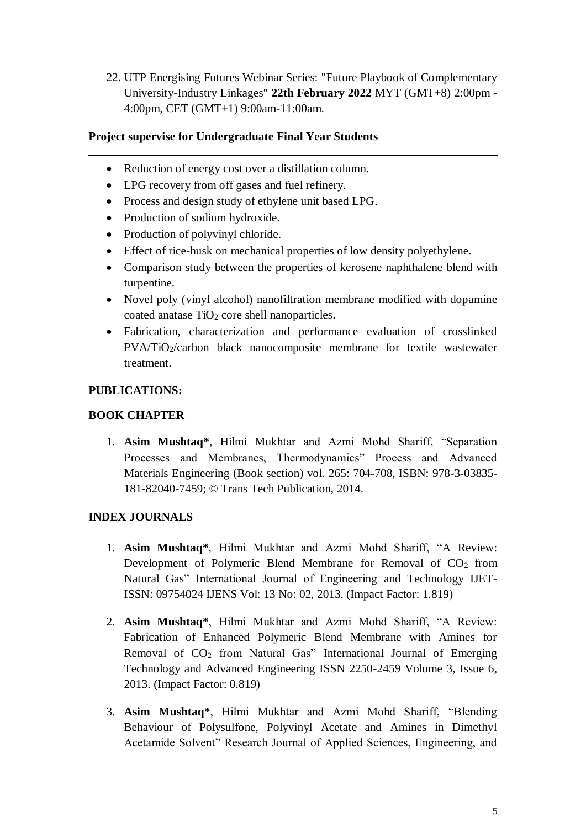22. UTP Energising Futures Webinar Series: "Future Playbook of Complementary University-Industry Linkages" **22th February 2022** MYT (GMT+8) 2:00pm - 4:00pm, CET (GMT+1) 9:00am-11:00am.

## **Project supervise for Undergraduate Final Year Students**

- Reduction of energy cost over a distillation column.
- LPG recovery from off gases and fuel refinery.
- Process and design study of ethylene unit based LPG.
- Production of sodium hydroxide.
- Production of polyvinyl chloride.
- Effect of rice-husk on mechanical properties of low density polyethylene.
- Comparison study between the properties of kerosene naphthalene blend with turpentine.
- Novel poly (vinyl alcohol) nanofiltration membrane modified with dopamine coated anatase  $TiO<sub>2</sub>$  core shell nanoparticles.
- Fabrication, characterization and performance evaluation of crosslinked PVA/TiO<sub>2</sub>/carbon black nanocomposite membrane for textile wastewater treatment.

### **PUBLICATIONS:**

### **BOOK CHAPTER**

1. **Asim Mushtaq\***, Hilmi Mukhtar and Azmi Mohd Shariff, "Separation Processes and Membranes, Thermodynamics" Process and Advanced Materials Engineering (Book section) vol. 265: 704-708, ISBN: 978-3-03835- 181-82040-7459; © Trans Tech Publication, 2014.

# **INDEX JOURNALS**

- 1. **Asim Mushtaq\***, Hilmi Mukhtar and Azmi Mohd Shariff, "A Review: Development of Polymeric Blend Membrane for Removal of  $CO<sub>2</sub>$  from Natural Gas" International Journal of Engineering and Technology IJET-ISSN: 09754024 IJENS Vol: 13 No: 02, 2013. (Impact Factor: 1.819)
- 2. **Asim Mushtaq\***, Hilmi Mukhtar and Azmi Mohd Shariff, "A Review: Fabrication of Enhanced Polymeric Blend Membrane with Amines for Removal of  $CO<sub>2</sub>$  from Natural Gas" International Journal of Emerging Technology and Advanced Engineering ISSN 2250-2459 Volume 3, Issue 6, 2013. (Impact Factor: 0.819)
- 3. **Asim Mushtaq\***, Hilmi Mukhtar and Azmi Mohd Shariff, "Blending Behaviour of Polysulfone, Polyvinyl Acetate and Amines in Dimethyl Acetamide Solvent" Research Journal of Applied Sciences, Engineering, and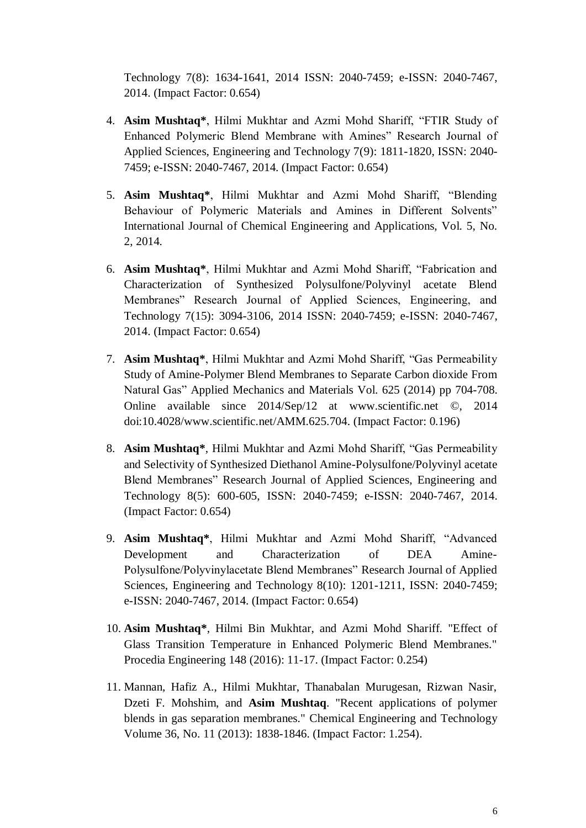Technology 7(8): 1634-1641, 2014 ISSN: 2040-7459; e-ISSN: 2040-7467, 2014. (Impact Factor: 0.654)

- 4. **Asim Mushtaq\***, Hilmi Mukhtar and Azmi Mohd Shariff, "FTIR Study of Enhanced Polymeric Blend Membrane with Amines" Research Journal of Applied Sciences, Engineering and Technology 7(9): 1811-1820, ISSN: 2040- 7459; e-ISSN: 2040-7467, 2014. (Impact Factor: 0.654)
- 5. **Asim Mushtaq\***, Hilmi Mukhtar and Azmi Mohd Shariff, "Blending Behaviour of Polymeric Materials and Amines in Different Solvents" International Journal of Chemical Engineering and Applications, Vol. 5, No. 2, 2014.
- 6. **Asim Mushtaq\***, Hilmi Mukhtar and Azmi Mohd Shariff, "Fabrication and Characterization of Synthesized Polysulfone/Polyvinyl acetate Blend Membranes" Research Journal of Applied Sciences, Engineering, and Technology 7(15): 3094-3106, 2014 ISSN: 2040-7459; e-ISSN: 2040-7467, 2014. (Impact Factor: 0.654)
- 7. **Asim Mushtaq\***, Hilmi Mukhtar and Azmi Mohd Shariff, "Gas Permeability Study of Amine-Polymer Blend Membranes to Separate Carbon dioxide From Natural Gas" Applied Mechanics and Materials Vol. 625 (2014) pp 704-708. Online available since 2014/Sep/12 at [www.scientific.net](http://www.scientific.net/) ©, 2014 doi:10.4028/www.scientific.net/AMM.625.704. (Impact Factor: 0.196)
- 8. **Asim Mushtaq\***, Hilmi Mukhtar and Azmi Mohd Shariff, "Gas Permeability and Selectivity of Synthesized Diethanol Amine-Polysulfone/Polyvinyl acetate Blend Membranes" Research Journal of Applied Sciences, Engineering and Technology 8(5): 600-605, ISSN: 2040-7459; e-ISSN: 2040-7467, 2014. (Impact Factor: 0.654)
- 9. **Asim Mushtaq\***, Hilmi Mukhtar and Azmi Mohd Shariff, "Advanced Development and Characterization of DEA Amine-Polysulfone/Polyvinylacetate Blend Membranes" Research Journal of Applied Sciences, Engineering and Technology 8(10): 1201-1211, ISSN: 2040-7459; e-ISSN: 2040-7467, 2014. (Impact Factor: 0.654)
- 10. **Asim Mushtaq\***, Hilmi Bin Mukhtar, and Azmi Mohd Shariff. "Effect of Glass Transition Temperature in Enhanced Polymeric Blend Membranes." Procedia Engineering 148 (2016): 11-17. (Impact Factor: 0.254)
- 11. Mannan, Hafiz A., Hilmi Mukhtar, Thanabalan Murugesan, Rizwan Nasir, Dzeti F. Mohshim, and **Asim Mushtaq**. "Recent applications of polymer blends in gas separation membranes." Chemical Engineering and Technology Volume 36, No. 11 (2013): 1838-1846. (Impact Factor: 1.254).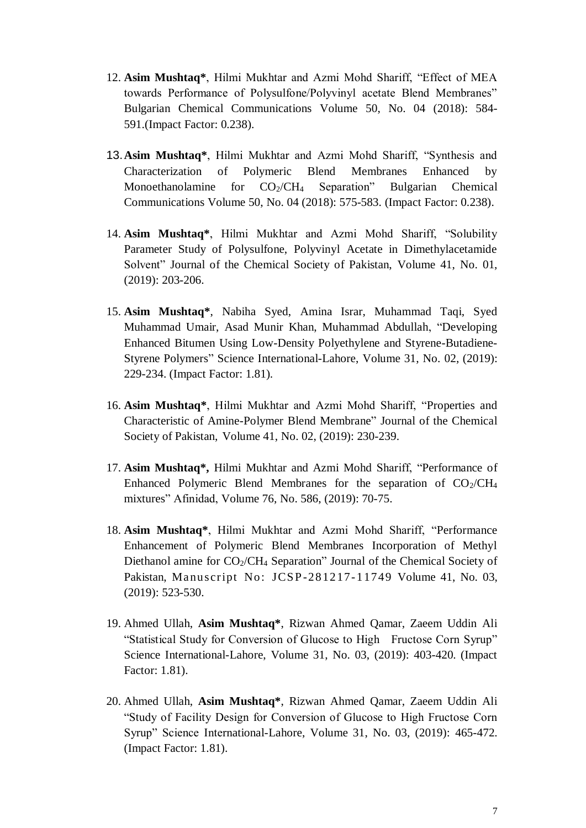- 12. **Asim Mushtaq\***, Hilmi Mukhtar and Azmi Mohd Shariff, "Effect of MEA towards Performance of Polysulfone/Polyvinyl acetate Blend Membranes" Bulgarian Chemical Communications Volume 50, No. 04 (2018): 584- 591.(Impact Factor: 0.238).
- 13.**Asim Mushtaq\***, Hilmi Mukhtar and Azmi Mohd Shariff, "Synthesis and Characterization of Polymeric Blend Membranes Enhanced by Monoethanolamine for  $CO_2/CH_4$  Separation" Bulgarian Chemical Communications Volume 50, No. 04 (2018): 575-583. (Impact Factor: 0.238).
- 14. **Asim Mushtaq\***, Hilmi Mukhtar and Azmi Mohd Shariff, "Solubility Parameter Study of Polysulfone, Polyvinyl Acetate in Dimethylacetamide Solvent" Journal of the Chemical Society of Pakistan, Volume 41, No. 01, (2019): 203-206.
- 15. **Asim Mushtaq\***, Nabiha Syed, Amina Israr, Muhammad Taqi, Syed Muhammad Umair, Asad Munir Khan, Muhammad Abdullah, "Developing Enhanced Bitumen Using Low-Density Polyethylene and Styrene-Butadiene-Styrene Polymers" Science International-Lahore, Volume 31, No. 02, (2019): 229-234. (Impact Factor: 1.81).
- 16. **Asim Mushtaq\***, Hilmi Mukhtar and Azmi Mohd Shariff, "Properties and Characteristic of Amine-Polymer Blend Membrane" Journal of the Chemical Society of Pakistan, Volume 41, No. 02, (2019): 230-239.
- 17. **Asim Mushtaq\*,** Hilmi Mukhtar and Azmi Mohd Shariff, "Performance of Enhanced Polymeric Blend Membranes for the separation of  $CO<sub>2</sub>/CH<sub>4</sub>$ mixtures" Afinidad, Volume 76, No. 586, (2019): 70-75.
- 18. **Asim Mushtaq\***, Hilmi Mukhtar and Azmi Mohd Shariff, "Performance Enhancement of Polymeric Blend Membranes Incorporation of Methyl Diethanol amine for CO<sub>2</sub>/CH<sub>4</sub> Separation" Journal of the Chemical Society of Pakistan, Manuscript No: JCSP-281217-11749 Volume 41, No. 03, (2019): 523-530.
- 19. Ahmed Ullah, **Asim Mushtaq\***, Rizwan Ahmed Qamar, Zaeem Uddin Ali "Statistical Study for Conversion of Glucose to High Fructose Corn Syrup" Science International-Lahore, Volume 31, No. 03, (2019): 403-420. (Impact Factor: 1.81).
- 20. Ahmed Ullah, **Asim Mushtaq\***, Rizwan Ahmed Qamar, Zaeem Uddin Ali "Study of Facility Design for Conversion of Glucose to High Fructose Corn Syrup" Science International-Lahore, Volume 31, No. 03, (2019): 465-472. (Impact Factor: 1.81).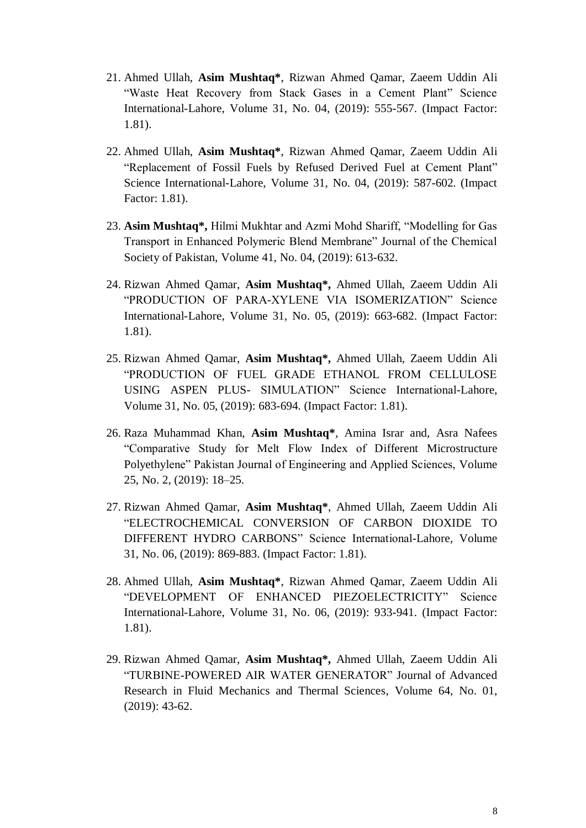- 21. Ahmed Ullah, **Asim Mushtaq\***, Rizwan Ahmed Qamar, Zaeem Uddin Ali "Waste Heat Recovery from Stack Gases in a Cement Plant" Science International-Lahore, Volume 31, No. 04, (2019): 555-567. (Impact Factor: 1.81).
- 22. Ahmed Ullah, **Asim Mushtaq\***, Rizwan Ahmed Qamar, Zaeem Uddin Ali "Replacement of Fossil Fuels by Refused Derived Fuel at Cement Plant" Science International-Lahore, Volume 31, No. 04, (2019): 587-602. (Impact Factor: 1.81).
- 23. **Asim Mushtaq\*,** Hilmi Mukhtar and Azmi Mohd Shariff, "Modelling for Gas Transport in Enhanced Polymeric Blend Membrane" Journal of the Chemical Society of Pakistan, Volume 41, No. 04, (2019): 613-632.
- 24. Rizwan Ahmed Qamar, **Asim Mushtaq\*,** Ahmed Ullah, Zaeem Uddin Ali "PRODUCTION OF PARA-XYLENE VIA ISOMERIZATION" Science International-Lahore, Volume 31, No. 05, (2019): 663-682. (Impact Factor: 1.81).
- 25. Rizwan Ahmed Qamar, **Asim Mushtaq\*,** Ahmed Ullah, Zaeem Uddin Ali "PRODUCTION OF FUEL GRADE ETHANOL FROM CELLULOSE USING ASPEN PLUS- SIMULATION" Science International-Lahore, Volume 31, No. 05, (2019): 683-694. (Impact Factor: 1.81).
- 26. Raza Muhammad Khan, **Asim Mushtaq\***, Amina Israr and, Asra Nafees "Comparative Study for Melt Flow Index of Different Microstructure Polyethylene" Pakistan Journal of Engineering and Applied Sciences, Volume 25, No. 2, (2019): 18–25.
- 27. Rizwan Ahmed Qamar, **Asim Mushtaq\***, Ahmed Ullah, Zaeem Uddin Ali "ELECTROCHEMICAL CONVERSION OF CARBON DIOXIDE TO DIFFERENT HYDRO CARBONS" Science International-Lahore, Volume 31, No. 06, (2019): 869-883. (Impact Factor: 1.81).
- 28. Ahmed Ullah, **Asim Mushtaq\***, Rizwan Ahmed Qamar, Zaeem Uddin Ali "DEVELOPMENT OF ENHANCED PIEZOELECTRICITY" Science International-Lahore, Volume 31, No. 06, (2019): 933-941. (Impact Factor: 1.81).
- 29. Rizwan Ahmed Qamar, **Asim Mushtaq\*,** Ahmed Ullah, Zaeem Uddin Ali "TURBINE-POWERED AIR WATER GENERATOR" Journal of Advanced Research in Fluid Mechanics and Thermal Sciences, Volume 64, No. 01, (2019): 43-62.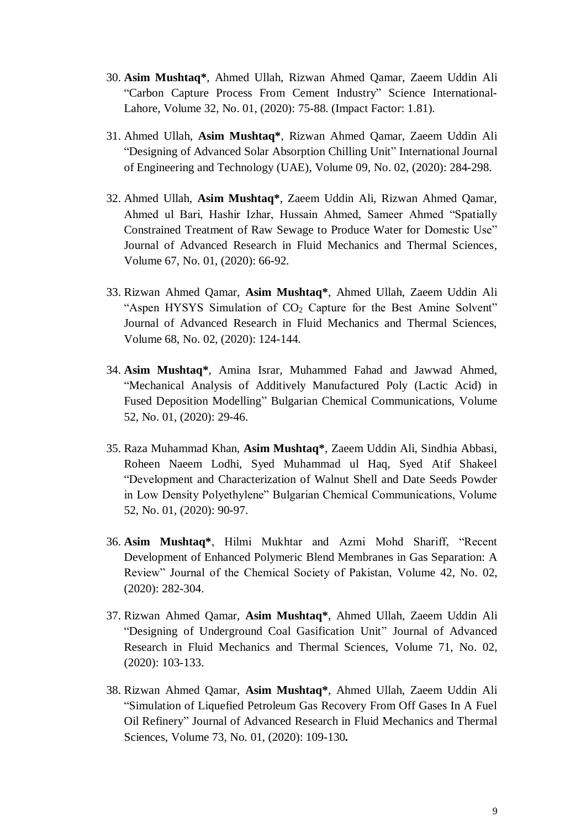- 30. **Asim Mushtaq\***, Ahmed Ullah, Rizwan Ahmed Qamar, Zaeem Uddin Ali "Carbon Capture Process From Cement Industry" Science International-Lahore, Volume 32, No. 01, (2020): 75-88. (Impact Factor: 1.81).
- 31. Ahmed Ullah, **Asim Mushtaq\***, Rizwan Ahmed Qamar, Zaeem Uddin Ali "Designing of Advanced Solar Absorption Chilling Unit" International Journal of Engineering and Technology (UAE), Volume 09, No. 02, (2020): 284-298.
- 32. Ahmed Ullah, **Asim Mushtaq\***, Zaeem Uddin Ali, Rizwan Ahmed Qamar, Ahmed ul Bari, Hashir Izhar, Hussain Ahmed, Sameer Ahmed "Spatially Constrained Treatment of Raw Sewage to Produce Water for Domestic Use" Journal of Advanced Research in Fluid Mechanics and Thermal Sciences, Volume 67, No. 01, (2020): 66-92.
- 33. Rizwan Ahmed Qamar, **Asim Mushtaq\***, Ahmed Ullah, Zaeem Uddin Ali "Aspen HYSYS Simulation of  $CO<sub>2</sub>$  Capture for the Best Amine Solvent" Journal of Advanced Research in Fluid Mechanics and Thermal Sciences, Volume 68, No. 02, (2020): 124-144.
- 34. **Asim Mushtaq\***, Amina Israr, Muhammed Fahad and Jawwad Ahmed, "Mechanical Analysis of Additively Manufactured Poly (Lactic Acid) in Fused Deposition Modelling" Bulgarian Chemical Communications, Volume 52, No. 01, (2020): 29-46.
- 35. Raza Muhammad Khan, **Asim Mushtaq\***, Zaeem Uddin Ali, Sindhia Abbasi, Roheen Naeem Lodhi, Syed Muhammad ul Haq, Syed Atif Shakeel "Development and Characterization of Walnut Shell and Date Seeds Powder in Low Density Polyethylene" Bulgarian Chemical Communications, Volume 52, No. 01, (2020): 90-97.
- 36. **Asim Mushtaq\***, Hilmi Mukhtar and Azmi Mohd Shariff, "Recent Development of Enhanced Polymeric Blend Membranes in Gas Separation: A Review" Journal of the Chemical Society of Pakistan, Volume 42, No. 02, (2020): 282-304.
- 37. Rizwan Ahmed Qamar, **Asim Mushtaq\***, Ahmed Ullah, Zaeem Uddin Ali "Designing of Underground Coal Gasification Unit" Journal of Advanced Research in Fluid Mechanics and Thermal Sciences, Volume 71, No. 02, (2020): 103-133.
- 38. Rizwan Ahmed Qamar, **Asim Mushtaq\***, Ahmed Ullah, Zaeem Uddin Ali "Simulation of Liquefied Petroleum Gas Recovery From Off Gases In A Fuel Oil Refinery" Journal of Advanced Research in Fluid Mechanics and Thermal Sciences, Volume 73, No. 01, (2020): 109-130**.**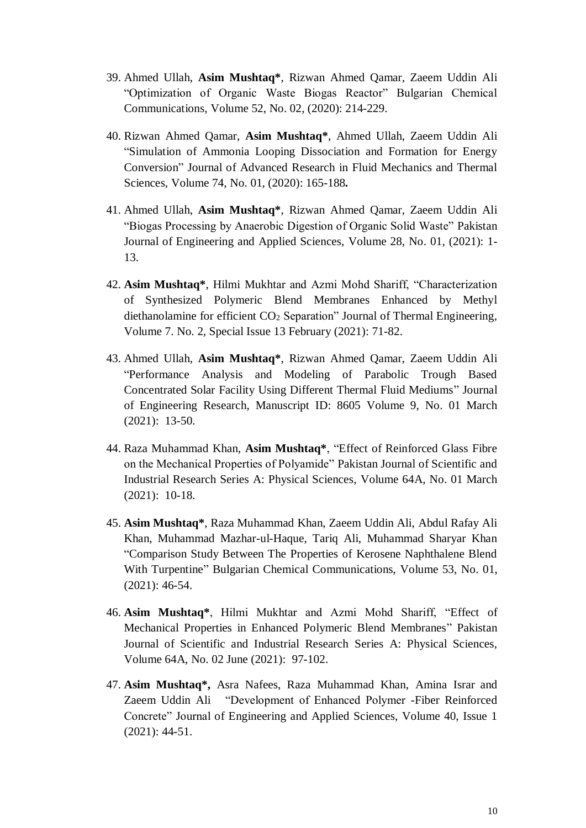- 39. Ahmed Ullah, **Asim Mushtaq\***, Rizwan Ahmed Qamar, Zaeem Uddin Ali "Optimization of Organic Waste Biogas Reactor" Bulgarian Chemical Communications, Volume 52, No. 02, (2020): 214-229.
- 40. Rizwan Ahmed Qamar, **Asim Mushtaq\***, Ahmed Ullah, Zaeem Uddin Ali "Simulation of Ammonia Looping Dissociation and Formation for Energy Conversion" Journal of Advanced Research in Fluid Mechanics and Thermal Sciences, Volume 74, No. 01, (2020): 165-188**.**
- 41. Ahmed Ullah, **Asim Mushtaq\***, Rizwan Ahmed Qamar, Zaeem Uddin Ali "Biogas Processing by Anaerobic Digestion of Organic Solid Waste" Pakistan Journal of Engineering and Applied Sciences, Volume 28, No. 01, (2021): 1- 13.
- 42. **Asim Mushtaq\***, Hilmi Mukhtar and Azmi Mohd Shariff, "Characterization of Synthesized Polymeric Blend Membranes Enhanced by Methyl diethanolamine for efficient CO<sub>2</sub> Separation" Journal of Thermal Engineering, Volume 7. No. 2, Special Issue 13 February (2021): 71-82.
- 43. Ahmed Ullah, **Asim Mushtaq\***, Rizwan Ahmed Qamar, Zaeem Uddin Ali "Performance Analysis and Modeling of Parabolic Trough Based Concentrated Solar Facility Using Different Thermal Fluid Mediums" Journal of Engineering Research, Manuscript ID: 8605 Volume 9, No. 01 March (2021): 13-50.
- 44. Raza Muhammad Khan, **Asim Mushtaq\***, "Effect of Reinforced Glass Fibre on the Mechanical Properties of Polyamide" Pakistan Journal of Scientific and Industrial Research Series A: Physical Sciences, Volume 64A, No. 01 March (2021): 10-18.
- 45. **Asim Mushtaq\***, Raza Muhammad Khan, Zaeem Uddin Ali, Abdul Rafay Ali Khan, Muhammad Mazhar-ul-Haque, Tariq Ali, Muhammad Sharyar Khan "Comparison Study Between The Properties of Kerosene Naphthalene Blend With Turpentine" Bulgarian Chemical Communications, Volume 53, No. 01, (2021): 46-54.
- 46. **Asim Mushtaq\***, Hilmi Mukhtar and Azmi Mohd Shariff, "Effect of Mechanical Properties in Enhanced Polymeric Blend Membranes" Pakistan Journal of Scientific and Industrial Research Series A: Physical Sciences, Volume 64A, No. 02 June (2021): 97-102.
- 47. **Asim Mushtaq\*,** Asra Nafees, Raza Muhammad Khan, Amina Israr and Zaeem Uddin Ali "Development of Enhanced Polymer -Fiber Reinforced Concrete" Journal of Engineering and Applied Sciences, Volume 40, Issue 1 (2021): 44-51.